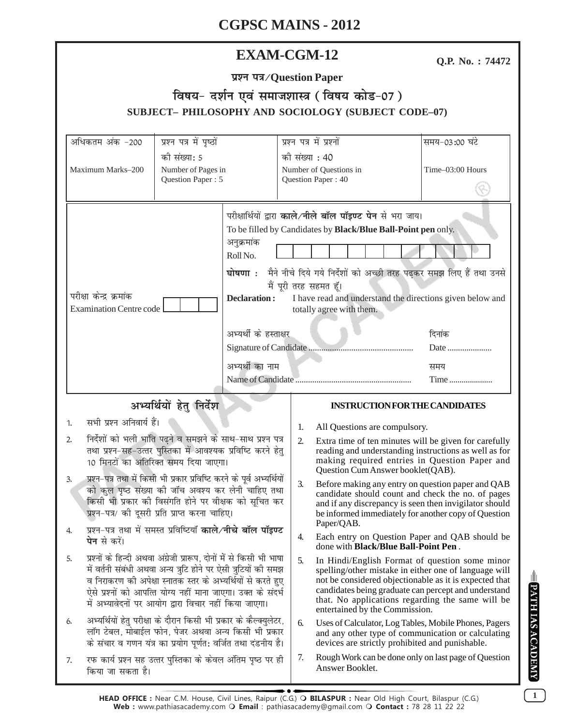## **EXAM-CGM-12**

Q.P. No.: 74472

| प्रश्न पत्र/Question Paper |
|----------------------------|
|----------------------------|

## विषय- दर्शन एवं समाजशास्त्र (विषय कोड-07) SUBJECT- PHILOSOPHY AND SOCIOLOGY (SUBJECT CODE-07)

| अधिकतम अंक -200                                                                                                                                                                                                                                                                                                                                                                                                                                                                                                         | प्रश्न पत्र में पृष्ठों                                     |                                                                                                                                                                                                                                                                                                                                                                                                                                                     | प्रश्न पत्र में प्रश्नों |                                                                                                                                                                                                                                                                                                                 | समय-03:00 घंटे   |
|-------------------------------------------------------------------------------------------------------------------------------------------------------------------------------------------------------------------------------------------------------------------------------------------------------------------------------------------------------------------------------------------------------------------------------------------------------------------------------------------------------------------------|-------------------------------------------------------------|-----------------------------------------------------------------------------------------------------------------------------------------------------------------------------------------------------------------------------------------------------------------------------------------------------------------------------------------------------------------------------------------------------------------------------------------------------|--------------------------|-----------------------------------------------------------------------------------------------------------------------------------------------------------------------------------------------------------------------------------------------------------------------------------------------------------------|------------------|
| की संख्या: 5<br>Maximum Marks-200<br>Number of Pages in<br>Question Paper: 5                                                                                                                                                                                                                                                                                                                                                                                                                                            |                                                             | की संख्या : 40<br>Number of Questions in<br>Question Paper: 40                                                                                                                                                                                                                                                                                                                                                                                      |                          |                                                                                                                                                                                                                                                                                                                 | Time-03:00 Hours |
| परीक्षा केन्द्र क्रमांक<br><b>Examination Centre code</b>                                                                                                                                                                                                                                                                                                                                                                                                                                                               |                                                             | परीक्षार्थियों द्वारा काले/नीले बॉल पॉइण्ट पेन से भरा जाय।<br>To be filled by Candidates by Black/Blue Ball-Point pen only.<br>अनुक्रमांक<br>Roll No.<br>घोषणा: मैने नीचे दिये गये निर्देशों को अच्छी तरह पढ़कर समझ लिए हैं तथा उनसे<br>मैं पूरी तरह सहमत हूँ।<br>I have read and understand the directions given below and<br><b>Declaration:</b><br>totally agree with them.<br>अभ्यर्थी के हस्ताक्षर<br>दिनांक<br>Date<br>अभ्यर्थी का नाम<br>समय |                          | Time                                                                                                                                                                                                                                                                                                            |                  |
| अभ्यर्थियों हेतु निर्देश                                                                                                                                                                                                                                                                                                                                                                                                                                                                                                |                                                             |                                                                                                                                                                                                                                                                                                                                                                                                                                                     |                          | <b>INSTRUCTION FOR THE CANDIDATES</b>                                                                                                                                                                                                                                                                           |                  |
| सभी प्रश्न अनिवार्य हैं।<br>1.                                                                                                                                                                                                                                                                                                                                                                                                                                                                                          |                                                             |                                                                                                                                                                                                                                                                                                                                                                                                                                                     |                          |                                                                                                                                                                                                                                                                                                                 |                  |
| निर्देशों को भली भांति पढ़ने व समझने के साथ-साथ प्रश्न पत्र<br>2.<br>तथा प्रश्न-सह-उत्तर पुस्तिका में आवश्यक प्रविष्टि करने हेतु<br>10 मिनटों का अतिरिक्त समय दिया जाएगा।<br>प्रश्न–पत्र तथा में किसी भी प्रकार प्रविष्टि करने के पूर्व अभ्यर्थियों<br>3.<br>को कुल पृष्ठ संख्या की जाँच अवश्य कर लेनी चाहिए तथा<br>किसी भी प्रकार की विसंगति होने पर वीक्षक को सूचित कर<br>प्रश्न-पत्र/ की दूसरी प्रति प्राप्त करना चाहिए।<br>प्रश्न-पत्र तथा में समस्त प्रविष्टियाँ काले/नीचे बॉल पॉइण्ट<br>4.<br><b>पेन</b> से करें। |                                                             |                                                                                                                                                                                                                                                                                                                                                                                                                                                     | 1.<br>2.                 | All Questions are compulsory.<br>Extra time of ten minutes will be given for carefully<br>reading and understanding instructions as well as for<br>making required entries in Question Paper and<br>Question Cum Answer booklet(QAB).                                                                           |                  |
|                                                                                                                                                                                                                                                                                                                                                                                                                                                                                                                         |                                                             |                                                                                                                                                                                                                                                                                                                                                                                                                                                     | 3.                       | Before making any entry on question paper and QAB<br>candidate should count and check the no. of pages<br>and if any discrepancy is seen then invigilator should<br>be informed immediately for another copy of Question                                                                                        |                  |
|                                                                                                                                                                                                                                                                                                                                                                                                                                                                                                                         |                                                             |                                                                                                                                                                                                                                                                                                                                                                                                                                                     | 4.                       | Paper/QAB.<br>Each entry on Question Paper and QAB should be<br>done with Black/Blue Ball-Point Pen.                                                                                                                                                                                                            |                  |
| प्रश्नों के हिन्दी अथवा अंग्रेजी प्रारूप, दोनों में से किसी भी भाषा<br>5.<br>में वर्तनी संबंधी अथवा अन्य त्रुटि होने पर ऐसी त्रुटियों की समझ<br>व निराकरण की अपेक्षा स्नातक स्तर के अभ्यर्थियों से करते हुए<br>ऐसे प्रश्नों को आपत्ति योग्य नहीं माना जाएगा। उक्त के संदर्भ<br>में अभ्यावेदनों पर आयोग द्वारा विचार नहीं किया जाएगा।                                                                                                                                                                                    |                                                             |                                                                                                                                                                                                                                                                                                                                                                                                                                                     | 5.                       | In Hindi/English Format of question some minor<br>spelling/other mistake in either one of language will<br>not be considered objectionable as it is expected that<br>candidates being graduate can percept and understand<br>that. No applications regarding the same will be<br>entertained by the Commission. |                  |
| अभ्यर्थियों हेतु परीक्षा के दौरान किसी भी प्रकार के कैल्क्युलेटर,<br>6.<br>लॉग टेबल, मोबाईल फोन, पेजर अथवा अन्य किसी भी प्रकार<br>के संचार व गणन यंत्र का प्रयोग पूर्णत: वर्जित तथा दंडनीय है।                                                                                                                                                                                                                                                                                                                          |                                                             |                                                                                                                                                                                                                                                                                                                                                                                                                                                     | 6.                       | Uses of Calculator, Log Tables, Mobile Phones, Pagers<br>and any other type of communication or calculating<br>devices are strictly prohibited and punishable.                                                                                                                                                  |                  |
| 7.<br>किया जा सकता है।                                                                                                                                                                                                                                                                                                                                                                                                                                                                                                  | रफ कार्य प्रश्न सह उत्तर पुस्तिका के केवल अंतिम पृष्ठ पर ही |                                                                                                                                                                                                                                                                                                                                                                                                                                                     |                          | Rough Work can be done only on last page of Question<br>Answer Booklet.                                                                                                                                                                                                                                         |                  |

 $\mathbf{1}$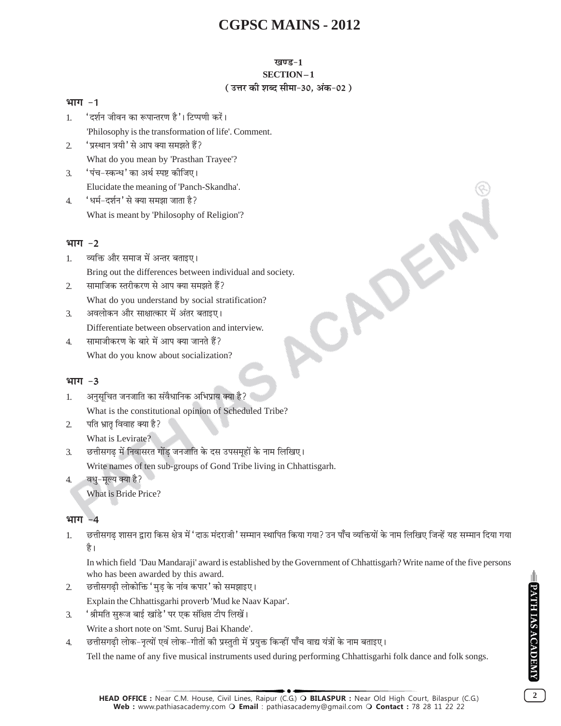#### खण्ड-1 SECTION-1 (उत्तर की शब्द सीमा-30. अंक-02)

ADE

#### भाग $-1$

- 'दर्शन जीवन का रूपान्तरण है'। टिप्पणी करें।  $\mathbf{1}$ 'Philosophy is the transformation of life'. Comment.
- 'प्रस्थान त्रयी' से आप क्या समझते हैं?  $\mathcal{L}$ What do you mean by 'Prasthan Trayee'?
- 'पंच-स्कन्ध' का अर्थ स्पष्ट कोजिए।  $\mathcal{L}$ Elucidate the meaning of 'Panch-Skandha'.
- 'धर्म-दर्शन' से क्या समझा जाता है?  $\overline{4}$ . What is meant by 'Philosophy of Religion'?

### भाग $-2$

- व्यक्ति और समाज में अन्तर बताइए।  $\mathbf{1}$ Bring out the differences between individual and society.
- सामाजिक स्तरीकरण से आप क्या समझते हैं?  $\overline{2}$ What do you understand by social stratification?
- अवलोकन और साक्षात्कार में अंतर बताइए।  $\overline{3}$ . Differentiate between observation and interview.
- सामाजीकरण के बारे में आप क्या जानते हैं?  $\overline{4}$ What do you know about socialization?

#### भाग $-3$

- अनुसूचित जनजाति का संवैधानिक अभिप्राय क्या है?  $1<sup>1</sup>$ What is the constitutional opinion of Scheduled Tribe?
- पति भ्रातृ विवाह क्या है?  $\mathcal{L}$ What is Levirate?

छत्तीसगढ में निवासरत गोंड जनजाति के दस उपसमूहों के नाम लिखिए।  $\mathfrak{Z}$ . Write names of ten sub-groups of Gond Tribe living in Chhattisgarh.

वधु-मूल्य क्या है?  $4.$ 

What is Bride Price?

#### भाग -4

छत्तीसगढ शासन द्वारा किस क्षेत्र में 'दाऊ मंदराजी' सम्मान स्थापित किया गया? उन पाँच व्यक्तियों के नाम लिखिए जिन्हें यह सम्मान दिया गया  $1.$ है।

In which field 'Dau Mandaraji' award is established by the Government of Chhattisgarh? Write name of the five persons who has been awarded by this award.

- छत्तीसगढ़ी लोकोक्ति 'मुड़ के नांव कपार' को समझाइए।  $\overline{2}$ 
	- Explain the Chhattisgarhi proverb 'Mud ke Naav Kapar'.
- 'श्रीमति सुरूज बाई खांडे' पर एक संक्षिप्त टीप लिखें।  $\overline{3}$ .

Write a short note on 'Smt. Suruj Bai Khande'.

छत्तीसगढी लोक-नृत्यों एवं लोक-गीतों की प्रस्तुती में प्रयुक्त किन्हीं पाँच वाद्य यंत्रों के नाम बताइए।  $\overline{4}$ 

Tell the name of any five musical instruments used during performing Chhattisgarhi folk dance and folk songs.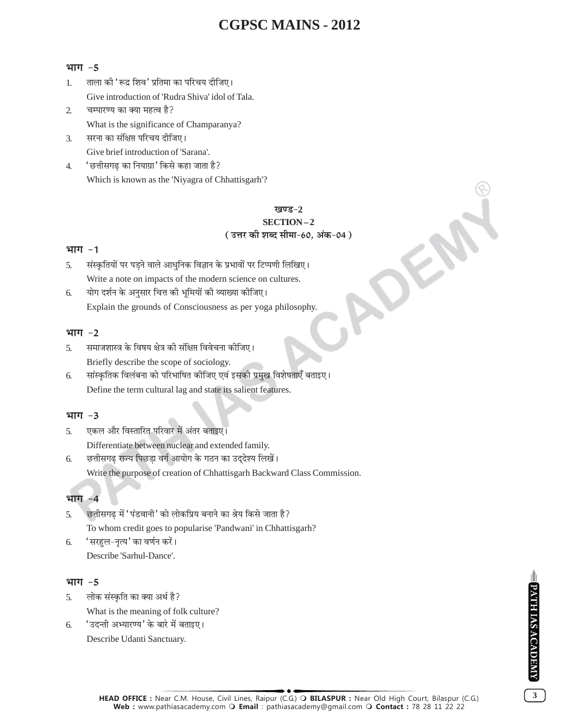#### भाग $-5$

- ताला की 'रूद्र शिव' प्रतिमा का परिचय दीजिए।  $\mathbf{1}$ Give introduction of 'Rudra Shiva' idol of Tala.
- $\mathcal{D}_{\alpha}$ चम्पारण्य का क्या महत्व है? What is the significance of Champaranya?
- सरना का संक्षिप्त परिचय दीजिए। 3. Give brief introduction of 'Sarana'.
- 'छत्तीसगढ का नियाग्रा' किसे कहा जाता है?  $\overline{4}$ Which is known as the 'Niyagra of Chhattisgarh'?

#### खण्ड $-2$ SECTION-2 (उत्तर की शब्द सीमा-60, अंक-04)

#### भाग $-1$

- संस्कृतियों पर पडने वाले आधुनिक विज्ञान के प्रभावों पर टिप्पणी लिखिए।  $\overline{5}$ . Write a note on impacts of the modern science on cultures.
- योग दर्शन के अनुसार चित्त की भूमियों की व्याख्या कीजिए। 6. Explain the grounds of Consciousness as per yoga philosophy.

#### भाग -2

- समाजशास्त्र के विषय क्षेत्र की संक्षिप्त विवेचना कीजिए। 5. Briefly describe the scope of sociology.
- सांस्कृतिक विलंबना को परिभाषित कीजिए एवं इसकी प्रमुख विशेषताएँ बताइए। 6. Define the term cultural lag and state its salient features.

#### भाग $-3$

- एकल और विस्तारित परिवार में अंतर बताइए।  $\overline{5}$ . Differentiate between nuclear and extended family.
- छत्तीसगढ राज्य पिछडा वर्ग आयोग के गठन का उद्देश्य लिखें। 6.

Write the purpose of creation of Chhattisgarh Backward Class Commission.

#### भाग -4

- छत्तीसगढ़ में 'पंडवानी' को लोकप्रिय बनाने का श्रेय किसे जाता है? 5. To whom credit goes to popularise 'Pandwani' in Chhattisgarh?
- 'सरहुल-नृत्य' का वर्णन करें। 6. Describe 'Sarhul-Dance'.

#### भाग $-5$

- लोक संस्कृति का क्या अर्थ है?  $\overline{5}$ What is the meaning of folk culture?
- 'उदन्ती अभ्यारण्य' के बारे में बताइए। 6. Describe Udanti Sanctuary.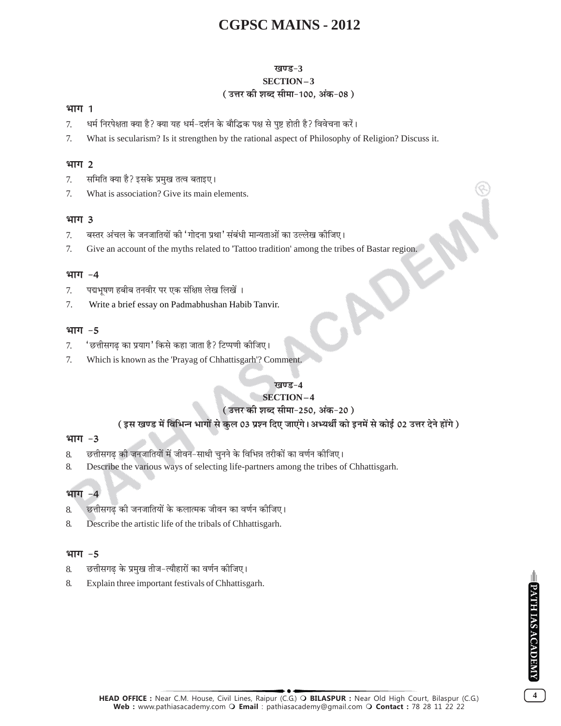### खण्ड-3

## SECTION-3

## (उत्तर की शब्द सीमा-100, अंक-08)

#### भाग 1

- धर्म निरपेक्षता क्या है? क्या यह धर्म–दर्शन के बौद्धिक पक्ष से पृष्ट होती है? विवेचना करें।  $\tau$
- What is secularism? Is it strengthen by the rational aspect of Philosophy of Religion? Discuss it. 7.

#### भाग 2

- समिति क्या है? इसके प्रमुख तत्व बताइए।  $7<sub>1</sub>$
- What is association? Give its main elements. 7.

### भाग 3

- बस्तर अंचल के जनजातियों की 'गोदना प्रथा' संबंधी मान्यताओं का उल्लेख कीजिए।  $\tau$
- Give an account of the myths related to 'Tattoo tradition' among the tribes of Bastar region. 7.

### भाग $-4$

- पद्मभषण हबीब तनवीर पर एक संक्षिप्त लेख लिखें । 7.
- 7. Write a brief essay on Padmabhushan Habib Tanvir.

### भाग $-5$

- 'छत्तीसगढ का प्रयाग' किसे कहा जाता है? टिप्पणी कीजिए। 7.
- Which is known as the 'Prayag of Chhattisgarh'? Comment. 7.

#### खण्ड-4

## **SECTION-4**

## ( उत्तर की शब्द सीमा-250. अंक-20 )

## ( इस खण्ड में विभिन्न भागों से कुल 03 प्रश्न दिए जाएंगे। अभ्यर्थी को इनमें से कोई 02 उत्तर देने होंगे )

#### भाग $-3$

- छत्तीसगढ़ की जनजातियों में जीवन-साथी चुनने के विभिन्न तरीकों का वर्णन कीजिए। 8.
- Describe the various ways of selecting life-partners among the tribes of Chhattisgarh. 8.

## भाग

- छत्तीसगढ की जनजातियों के कलात्मक जीवन का वर्णन कीजिए। 8.
- Describe the artistic life of the tribals of Chhattisgarh. 8.

## भाग $-5$

- छत्तीसगढ के प्रमुख तीज-त्यौहारों का वर्णन कीजिए। 8.
- 8. Explain three important festivals of Chhattisgarh.